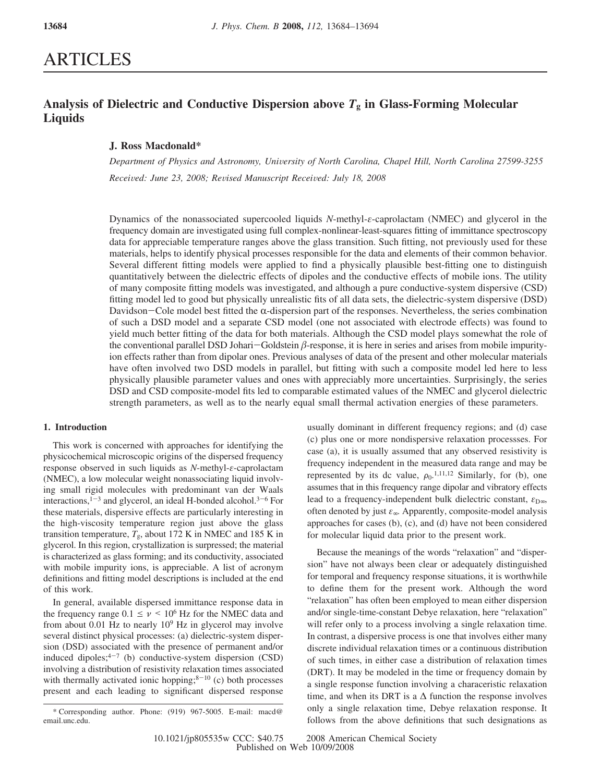# ARTICLES

# **Analysis of Dielectric and Conductive Dispersion above** *T***<sup>g</sup> in Glass-Forming Molecular Liquids**

## **J. Ross Macdonald\***

*Department of Physics and Astronomy, Uni*V*ersity of North Carolina, Chapel Hill, North Carolina 27599-3255 Recei*V*ed: June 23, 2008; Re*V*ised Manuscript Recei*V*ed: July 18, 2008*

Dynamics of the nonassociated supercooled liquids *N*-methyl-*ε*-caprolactam (NMEC) and glycerol in the frequency domain are investigated using full complex-nonlinear-least-squares fitting of immittance spectroscopy data for appreciable temperature ranges above the glass transition. Such fitting, not previously used for these materials, helps to identify physical processes responsible for the data and elements of their common behavior. Several different fitting models were applied to find a physically plausible best-fitting one to distinguish quantitatively between the dielectric effects of dipoles and the conductive effects of mobile ions. The utility of many composite fitting models was investigated, and although a pure conductive-system dispersive (CSD) fitting model led to good but physically unrealistic fits of all data sets, the dielectric-system dispersive (DSD) Davidson-Cole model best fitted the  $\alpha$ -dispersion part of the responses. Nevertheless, the series combination of such a DSD model and a separate CSD model (one not associated with electrode effects) was found to yield much better fitting of the data for both materials. Although the CSD model plays somewhat the role of the conventional parallel DSD Johari-Goldstein  $\beta$ -response, it is here in series and arises from mobile impurity-<br>ion effects rather than from dipolar ones. Previous analyses of data of the present and other molecular m ion effects rather than from dipolar ones. Previous analyses of data of the present and other molecular materials have often involved two DSD models in parallel, but fitting with such a composite model led here to less physically plausible parameter values and ones with appreciably more uncertainties. Surprisingly, the series DSD and CSD composite-model fits led to comparable estimated values of the NMEC and glycerol dielectric strength parameters, as well as to the nearly equal small thermal activation energies of these parameters.

### **1. Introduction**

This work is concerned with approaches for identifying the physicochemical microscopic origins of the dispersed frequency response observed in such liquids as *N*-methyl-*ε*-caprolactam (NMEC), a low molecular weight nonassociating liquid involving small rigid molecules with predominant van der Waals interactions, $1-3$  and glycerol, an ideal H-bonded alcohol. $3-6$  For these materials, dispersive effects are particularly interesting in the high-viscosity temperature region just above the glass transition temperature,  $T_g$ , about 172 K in NMEC and 185 K in glycerol. In this region, crystallization is surpressed; the material is characterized as glass forming; and its conductivity, associated with mobile impurity ions, is appreciable. A list of acronym definitions and fitting model descriptions is included at the end of this work.

In general, available dispersed immittance response data in the frequency range  $0.1 \le \nu \le 10^6$  Hz for the NMEC data and from about 0.01 Hz to nearly  $10^9$  Hz in glycerol may involve several distinct physical processes: (a) dielectric-system dispersion (DSD) associated with the presence of permanent and/or induced dipoles; $4-7$  (b) conductive-system dispersion (CSD) involving a distribution of resistivity relaxation times associated with thermally activated ionic hopping; $8-10$  (c) both processes present and each leading to significant dispersed response usually dominant in different frequency regions; and (d) case (c) plus one or more nondispersive relaxation processses. For case (a), it is usually assumed that any observed resistivity is frequency independent in the measured data range and may be represented by its dc value,  $\rho_0$ , <sup>1,11,12</sup> Similarly, for (b), one assumes that in this frequency range dipolar and vibratory effects lead to a frequency-independent bulk dielectric constant, *ε*<sub>D∞</sub>, often denoted by just *ε*∞. Apparently, composite-model analysis approaches for cases (b), (c), and (d) have not been considered for molecular liquid data prior to the present work.

Because the meanings of the words "relaxation" and "dispersion" have not always been clear or adequately distinguished for temporal and frequency response situations, it is worthwhile to define them for the present work. Although the word "relaxation" has often been employed to mean either dispersion and/or single-time-constant Debye relaxation, here "relaxation" will refer only to a process involving a single relaxation time. In contrast, a dispersive process is one that involves either many discrete individual relaxation times or a continuous distribution of such times, in either case a distribution of relaxation times (DRT). It may be modeled in the time or frequency domain by a single response function involving a characeristic relaxation time, and when its DRT is a  $\Delta$  function the response involves only a single relaxation time, Debye relaxation response. It follows from the above definitions that such designations as

<sup>\*</sup> Corresponding author. Phone: (919) 967-5005. E-mail: macd@ email.unc.edu.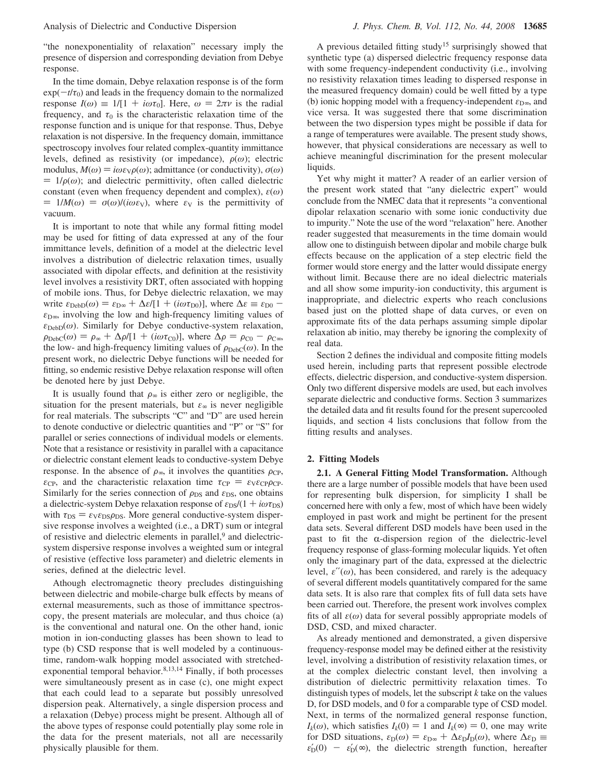"the nonexponentiality of relaxation" necessary imply the presence of dispersion and corresponding deviation from Debye response.

In the time domain, Debye relaxation response is of the form  $exp(-t/\tau_0)$  and leads in the frequency domain to the normalized response  $I(\omega) \equiv 1/[1 + i\omega \tau_0]$ . Here,  $\omega = 2\pi \nu$  is the radial frequency, and  $\tau_0$  is the characteristic relaxation time of the response function and is unique for that response. Thus, Debye relaxation is not dispersive. In the frequency domain, immittance spectroscopy involves four related complex-quantity immittance levels, defined as resistivity (or impedance),  $\rho(\omega)$ ; electric modulus,  $M(\omega) = i\omega \varepsilon \sqrt{\rho(\omega)}$ ; admittance (or conductivity),  $\sigma(\omega)$  $= 1/\rho(\omega)$ ; and dielectric permittivity, often called dielectric constant (even when frequency dependent and complex), *ε*(*ω*)  $= 1/M(\omega) = \sigma(\omega)/(i\omega \varepsilon_V)$ , where  $\varepsilon_V$  is the permittivity of vacuum.

It is important to note that while any formal fitting model may be used for fitting of data expressed at any of the four immittance levels, definition of a model at the dielectric level involves a distribution of dielectric relaxation times, usually associated with dipolar effects, and definition at the resistivity level involves a resistivity DRT, often associated with hopping of mobile ions. Thus, for Debye dielectric relaxation, we may write  $\varepsilon_{\text{DebD}}(\omega) = \varepsilon_{\text{D}\infty} + \Delta \varepsilon / [1 + (i\omega \tau_{\text{D}0})]$ , where  $\Delta \varepsilon \equiv \varepsilon_{\text{D}0}$  $\varepsilon_{\text{D}\infty}$ , involving the low and high-frequency limiting values of  $\varepsilon_{\text{DebD}}(\omega)$ . Similarly for Debye conductive-system relaxation,  $\rho_{\text{DebC}}(\omega) = \rho_{\infty} + \Delta \rho/[1 + (i\omega \tau_{\text{CO}})]$ , where  $\Delta \rho = \rho_{\text{CO}} - \rho_{\text{C}\infty}$ , the low- and high-frequency limiting values of  $\rho_{DebC}(\omega)$ . In the present work, no dielectric Debye functions will be needed for fitting, so endemic resistive Debye relaxation response will often be denoted here by just Debye.

It is usually found that  $\rho_{\infty}$  is either zero or negligible, the situation for the present materials, but *ε*<sup>∞</sup> is never negligible for real materials. The subscripts "C" and "D" are used herein to denote conductive or dielectric quantities and "P" or "S" for parallel or series connections of individual models or elements. Note that a resistance or resistivity in parallel with a capacitance or dielectric constant element leads to conductive-system Debye response. In the absence of  $\rho_{\infty}$ , it involves the quantities  $\rho_{\rm CP}$ , *ε*<sub>CP</sub>, and the characteristic relaxation time  $\tau_{CP} = \varepsilon_{V} \varepsilon_{CP} \rho_{CP}$ . Similarly for the series connection of  $\rho_{DS}$  and  $\varepsilon_{DS}$ , one obtains a dielectric-system Debye relaxation response of  $\varepsilon_{\text{DS}}/(1 + i\omega\tau_{\text{DS}})$ with  $\tau_{DS} = \varepsilon_{V} \varepsilon_{DS} \rho_{DS}$ . More general conductive-system dispersive response involves a weighted (i.e., a DRT) sum or integral of resistive and dielectric elements in parallel,<sup>9</sup> and dielectricsystem dispersive response involves a weighted sum or integral of resistive (effective loss parameter) and dieletric elements in series, defined at the dielectric level.

Athough electromagnetic theory precludes distinguishing between dielectric and mobile-charge bulk effects by means of external measurements, such as those of immittance spectroscopy, the present materials are molecular, and thus choice (a) is the conventional and natural one. On the other hand, ionic motion in ion-conducting glasses has been shown to lead to type (b) CSD response that is well modeled by a continuoustime, random-walk hopping model associated with stretchedexponential temporal behavior.<sup>8,13,14</sup> Finally, if both processes were simultaneously present as in case (c), one might expect that each could lead to a separate but possibly unresolved dispersion peak. Alternatively, a single dispersion process and a relaxation (Debye) process might be present. Although all of the above types of response could potentially play some role in the data for the present materials, not all are necessarily physically plausible for them.

A previous detailed fitting study<sup>15</sup> surprisingly showed that synthetic type (a) dispersed dielectric frequency response data with some frequency-independent conductivity (i.e., involving no resistivity relaxation times leading to dispersed response in the measured frequency domain) could be well fitted by a type (b) ionic hopping model with a frequency-independent  $\varepsilon_{\text{D}\infty}$ , and vice versa. It was suggested there that some discrimination between the two dispersion types might be possible if data for a range of temperatures were available. The present study shows, however, that physical considerations are necessary as well to achieve meaningful discrimination for the present molecular liquids.

Yet why might it matter? A reader of an earlier version of the present work stated that "any dielectric expert" would conclude from the NMEC data that it represents "a conventional dipolar relaxation scenario with some ionic conductivity due to impurity." Note the use of the word "relaxation" here. Another reader suggested that measurements in the time domain would allow one to distinguish between dipolar and mobile charge bulk effects because on the application of a step electric field the former would store energy and the latter would dissipate energy without limit. Because there are no ideal dielectric materials and all show some impurity-ion conductivity, this argument is inappropriate, and dielectric experts who reach conclusions based just on the plotted shape of data curves, or even on approximate fits of the data perhaps assuming simple dipolar relaxation ab initio, may thereby be ignoring the complexity of real data.

Section 2 defines the individual and composite fitting models used herein, including parts that represent possible electrode effects, dielectric dispersion, and conductive-system dispersion. Only two different dispersive models are used, but each involves separate dielectric and conductive forms. Section 3 summarizes the detailed data and fit results found for the present supercooled liquids, and section 4 lists conclusions that follow from the fitting results and analyses.

#### **2. Fitting Models**

**2.1. A General Fitting Model Transformation.** Although there are a large number of possible models that have been used for representing bulk dispersion, for simplicity I shall be concerned here with only a few, most of which have been widely employed in past work and might be pertinent for the present data sets. Several different DSD models have been used in the past to fit the  $\alpha$ -dispersion region of the dielectric-level frequency response of glass-forming molecular liquids. Yet often only the imaginary part of the data, expressed at the dielectric level,  $\varepsilon''(\omega)$ , has been considered, and rarely is the adequacy of several different models quantitatively compared for the same data sets. It is also rare that complex fits of full data sets have been carried out. Therefore, the present work involves complex fits of all *ε*(*ω*) data for several possibly appropriate models of DSD, CSD, and mixed character.

As already mentioned and demonstrated, a given dispersive frequency-response model may be defined either at the resistivity level, involving a distribution of resistivity relaxation times, or at the complex dielectric constant level, then involving a distribution of dielectric permittivity relaxation times. To distinguish types of models, let the subscript *k* take on the values D, for DSD models, and 0 for a comparable type of CSD model. Next, in terms of the normalized general response function,  $I_k(\omega)$ , which satisfies  $I_k(0) = 1$  and  $I_k(\infty) = 0$ , one may write for DSD situations,  $\varepsilon_D(\omega) = \varepsilon_{D\infty} + \Delta \varepsilon_D I_D(\omega)$ , where  $\Delta \varepsilon_D \equiv$  $\varepsilon_{D}^{\prime}(0)$  –  $\varepsilon_{D}^{\prime}(\infty)$ , the dielectric strength function, hereafter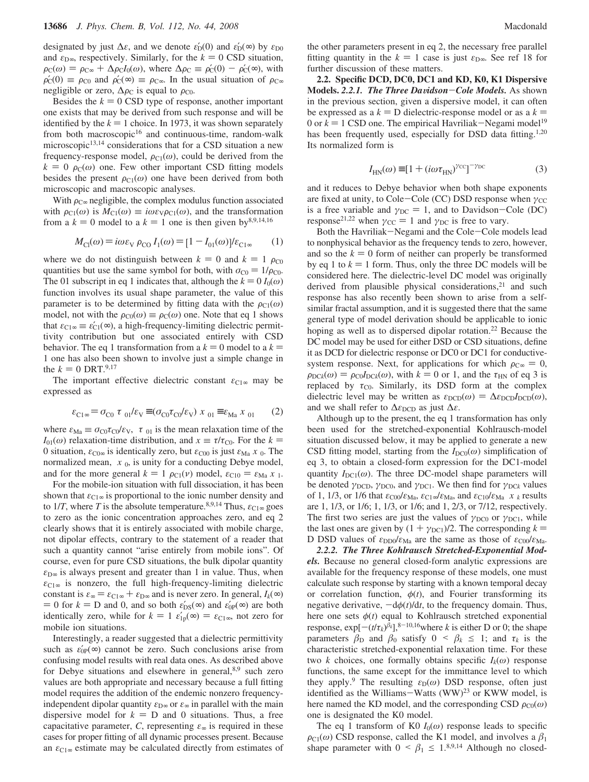designated by just  $\Delta \varepsilon$ , and we denote  $\varepsilon'_{D}(0)$  and  $\varepsilon'_{D}(\infty)$  by  $\varepsilon_{D0}$ and  $\varepsilon_{D\infty}$ , respectively. Similarly, for the  $k = 0$  CSD situation,  $\rho_C(\omega) = \rho_{C\infty} + \Delta \rho_C I_0(\omega)$ , where  $\Delta \rho_C \equiv \rho'_C(0) - \rho'_C(\infty)$ , with  $\rho'_{\rm C}(0) \equiv \rho_{\rm C0}$  and  $\rho'_{\rm C}(\infty) \equiv \rho_{\rm C\infty}$ . In the usual situation of  $\rho_{\rm C\infty}$ negligible or zero,  $\Delta \rho_C$  is equal to  $\rho_{C0}$ .

Besides the  $k = 0$  CSD type of response, another important one exists that may be derived from such response and will be identified by the  $k = 1$  choice. In 1973, it was shown separately from both macroscopic<sup>16</sup> and continuous-time, random-walk microscopic<sup>13,14</sup> considerations that for a CSD situation a new frequency-response model,  $\rho_{C1}(\omega)$ , could be derived from the  $k = 0$   $\rho_c(\omega)$  one. Few other important CSD fitting models besides the present  $\rho_{C1}(\omega)$  one have been derived from both microscopic and macroscopic analyses.

With  $\rho_{\text{C}\infty}$  negligible, the complex modulus function associated with  $\rho_{C1}(\omega)$  is  $M_{C1}(\omega) \equiv i\omega \varepsilon_V \rho_{C1}(\omega)$ , and the transformation from a  $k = 0$  model to a  $k = 1$  one is then given by<sup>8,9,14,16</sup>

$$
M_{\text{Cl}}(\omega) = i\omega \varepsilon_{\text{V}} \rho_{\text{CO}} I_1(\omega) = [1 - I_{01}(\omega)]/\varepsilon_{\text{Cl}\infty} \qquad (1)
$$

where we do not distinguish between  $k = 0$  and  $k = 1 \rho_{C0}$ quantities but use the same symbol for both, with  $\sigma_{C0} = 1/\rho_{C0}$ . The 01 subscript in eq 1 indicates that, although the  $k = 0$   $I_0(\omega)$ function involves its usual shape parameter, the value of this parameter is to be determined by fitting data with the  $\rho_{C1}(\omega)$ model, not with the  $\rho_{C0}(\omega) \equiv \rho_C(\omega)$  one. Note that eq 1 shows that  $\varepsilon_{C1\infty} \equiv \varepsilon'_{C1}(\infty)$ , a high-frequency-limiting dielectric permittivity contribution but one associated entirely with CSD behavior. The eq 1 transformation from a  $k = 0$  model to a  $k =$ 1 one has also been shown to involve just a simple change in the  $k = 0$  DRT.<sup>9,17</sup>

The important effective dielectric constant *ε*C1<sup>∞</sup> may be expressed as

$$
\varepsilon_{\text{C1}\sim} = \sigma_{\text{C0}} \langle \tau \rangle_{01} / \varepsilon_{\text{V}} \equiv (\sigma_{\text{C0}} \tau_{\text{C0}} / \varepsilon_{\text{V}}) \langle x \rangle_{01} \equiv \varepsilon_{\text{Ma}} \langle x \rangle_{01} \tag{2}
$$

where  $\varepsilon_{\text{Ma}} \equiv \sigma_{\text{CO}} \tau_{\text{CO}} / \varepsilon_{\text{V}}$ ,  $\langle \tau \rangle_{01}$  is the mean relaxation time of the *I*<sub>01</sub>( $\omega$ ) relaxation-time distribution, and  $x \equiv \tau/\tau_{\text{CO}}$ . For the  $k =$ 0 situation,  $\varepsilon_{\text{CO}\infty}$  is identically zero, but  $\varepsilon_{\text{CO}0}$  is just  $\varepsilon_{\text{Ma}}(x)_{0}$ . The normalized mean,  $\langle x \rangle_0$ , is unity for a conducting Debye model, and for the more general  $k = 1 \rho_{C1}(v)$  model,  $\varepsilon_{C10} = \varepsilon_{Ma} \langle x \rangle_1$ .

For the mobile-ion situation with full dissociation, it has been shown that  $\varepsilon_{C1\infty}$  is proportional to the ionic number density and to 1/*T*, where *T* is the absolute temperature.<sup>8,9,14</sup> Thus,  $\varepsilon_{C1\infty}$  goes to zero as the ionic concentration approaches zero, and eq 2 clearly shows that it is entirely associated with mobile charge, not dipolar effects, contrary to the statement of a reader that such a quantity cannot "arise entirely from mobile ions". Of course, even for pure CSD situations, the bulk dipolar quantity  $\varepsilon_{\text{D}\infty}$  is always present and greater than 1 in value. Thus, when  $\varepsilon_{C1\infty}$  is nonzero, the full high-frequency-limiting dielectric constant is  $\varepsilon_{\infty} = \varepsilon_{C1\infty} + \varepsilon_{D\infty}$  and is never zero. In general,  $I_k(\infty)$  $= 0$  for  $k = D$  and 0, and so both  $\varepsilon'_{DS}(\infty)$  and  $\varepsilon'_{0P}(\infty)$  are both identically zero, while for  $k = 1$   $\varepsilon'_{1p}(\infty) = \varepsilon_{C1\infty}$ , not zero for mobile ion situations.

Interestingly, a reader suggested that a dielectric permittivity such as  $\varepsilon_{0}^{\prime}P(\infty)$  cannot be zero. Such conclusions arise from confusing model results with real data ones. As described above for Debye situations and elsewhere in general,<sup>8,9</sup> such zero values are both appropriate and necessary because a full fitting model requires the addition of the endemic nonzero frequencyindependent dipolar quantity  $\varepsilon_{D^{\infty}}$  or  $\varepsilon_{\infty}$  in parallel with the main dispersive model for  $k = D$  and 0 situations. Thus, a free capacitative parameter, *C*, representing  $\varepsilon_{\infty}$  is required in these cases for proper fitting of all dynamic processes present. Because an  $\varepsilon_{\text{Cl}\infty}$  estimate may be calculated directly from estimates of the other parameters present in eq 2, the necessary free parallel fitting quantity in the  $k = 1$  case is just  $\varepsilon_{D^{\infty}}$ . See ref 18 for further discussion of these matters.

**2.2. Specific DCD, DC0, DC1 and KD, K0, K1 Dispersive** Models. 2.2.1. The Three Davidson-Cole Models. As shown in the previous section, given a dispersive model, it can often be expressed as a  $k = D$  dielectric-response model or as a  $k =$ 0 or  $k = 1$  CSD one. The empirical Havriliak-Negami model<sup>19</sup> has been frequently used, especially for DSD data fitting.<sup>1,20</sup> Its normalized form is

$$
I_{HN}(\omega) \equiv [1 + (i\omega \tau_{HN})^{\gamma_{CC}}]^{-\gamma_{DC}}
$$
 (3)

and it reduces to Debye behavior when both shape exponents are fixed at unity, to Cole-Cole (CC) DSD response when *γ*<sub>CC</sub> is a free variable and  $\gamma_{DC} = 1$ , and to Davidson-Cole (DC) response<sup>21,22</sup> when  $\gamma_{\text{CC}} = 1$  and  $\gamma_{\text{DC}}$  is free to vary.

Both the Havriliak-Negami and the Cole-Cole models lead to nonphysical behavior as the frequency tends to zero, however, and so the  $k = 0$  form of neither can properly be transformed by eq 1 to  $k = 1$  form. Thus, only the three DC models will be considered here. The dielectric-level DC model was originally derived from plausible physical considerations, $2<sup>1</sup>$  and such response has also recently been shown to arise from a selfsimilar fractal assumption, and it is suggested there that the same general type of model derivation should be applicable to ionic hoping as well as to dispersed dipolar rotation.<sup>22</sup> Because the DC model may be used for either DSD or CSD situations, define it as DCD for dielectric response or DC0 or DC1 for conductivesystem response. Next, for applications for which  $\rho_{C\infty} = 0$ ,  $\rho_{\text{DCK}}(\omega) = \rho_{\text{CO}}I_{\text{DCK}}(\omega)$ , with  $k = 0$  or 1, and the  $\tau_{\text{HN}}$  of eq 3 is replaced by  $\tau_{\text{CO}}$ . Similarly, its DSD form at the complex dielectric level may be written as  $\varepsilon_{\text{DCD}}(\omega) = \Delta \varepsilon_{\text{DCD}} I_{\text{DCD}}(\omega)$ , and we shall refer to  $\Delta \varepsilon$ <sub>DCD</sub> as just  $\Delta \varepsilon$ .

Although up to the present, the eq 1 transformation has only been used for the stretched-exponential Kohlrausch-model situation discussed below, it may be applied to generate a new CSD fitting model, starting from the  $I_{DC0}(\omega)$  simplification of eq 3, to obtain a closed-form expression for the DC1-model quantity  $I_{\text{DC1}}(\omega)$ . The three DC-model shape parameters will be denoted  $\gamma_{\text{DCD}}$ ,  $\gamma_{\text{DC0}}$ , and  $\gamma_{\text{DC1}}$ . We then find for  $\gamma_{\text{DCk}}$  values of 1, 1/3, or 1/6 that  $\varepsilon_{\text{C00}}/\varepsilon_{\text{Ma}}, \varepsilon_{\text{C1}} \sim / \varepsilon_{\text{Ma}},$  and  $\varepsilon_{\text{C10}}/\varepsilon_{\text{Ma}} \langle x \rangle_k$  results are 1, 1/3, or 1/6; 1, 1/3, or 1/6; and 1, 2/3, or 7/12, respectively. The first two series are just the values of  $\gamma_{DC0}$  or  $\gamma_{DC1}$ , while the last ones are given by  $(1 + \gamma_{\text{DC1}})/2$ . The corresponding  $k =$ D DSD values of  $ε_{DD0}/ε_{Ma}$  are the same as those of  $ε_{CO0}/ε_{Ma}$ .

*2.2.2. The Three Kohlrausch Stretched-Exponential Models.* Because no general closed-form analytic expressions are available for the frequency response of these models, one must calculate such response by starting with a known temporal decay or correlation function, *φ*(*t*), and Fourier transforming its negative derivative,  $-d\phi(t)/dt$ , to the frequency domain. Thus, here one sets  $\phi(t)$  equal to Kohlrausch stretched exponential response,  $\exp[-(t/\tau_k)^{\beta_k}]$ ,<sup>8-10,16</sup>where *k* is either D or 0; the shape<br>parameters  $\beta_p$  and  $\beta_q$  satisfy  $0 \leq \beta_l \leq 1$ ; and  $\tau_l$  is the parameters  $\beta_D$  and  $\beta_D$  satisfy  $0 \leq \beta_k \leq 1$ ; and  $\tau_k$  is the characteristic stretched-exponential relaxation time. For these characteristic stretched-exponential relaxation time. For these two *k* choices, one formally obtains specific  $I_k(\omega)$  response functions, the same except for the immittance level to which they apply.<sup>9</sup> The resulting  $\varepsilon_D(\omega)$  DSD response, often just identified as the Williams-Watts (WW) $^{23}$  or KWW model, is here named the KD model, and the corresponding CSD  $\rho_{C0}(\omega)$ one is designated the K0 model.

The eq 1 transform of K0  $I_0(\omega)$  response leads to specific  $\rho_{\text{Cl}}(\omega)$  CSD response, called the K1 model, and involves a  $\beta_1$  shape parameter with  $0 \leq \beta_1 \leq 18.9$ .<sup>14</sup> Although no closed. shape parameter with  $0 < \beta_1 \leq 1^{8,9,14}$  Although no closed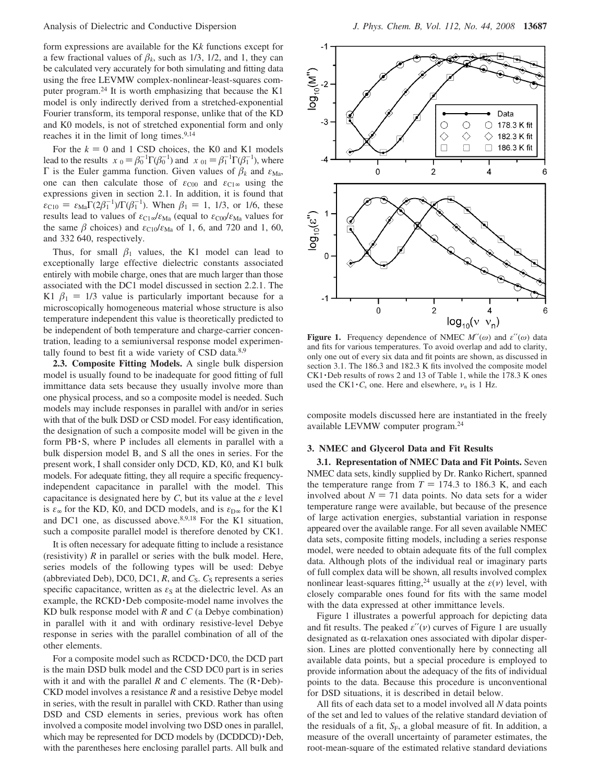form expressions are available for the K*k* functions except for a few fractional values of  $\beta_k$ , such as 1/3, 1/2, and 1, they can be calculated very accurately for both simulating and fitting data using the free LEVMW complex-nonlinear-least-squares computer program.24 It is worth emphasizing that because the K1 model is only indirectly derived from a stretched-exponential Fourier transform, its temporal response, unlike that of the KD and K0 models, is not of stretched exponential form and only reaches it in the limit of long times.<sup>9,14</sup>

For the  $k = 0$  and 1 CSD choices, the K0 and K1 models lead to the results  $\langle x \rangle_0 = \beta_0^{-1} \Gamma(\beta_0^{-1})$  and  $\langle x \rangle_{01} = \beta_1^{-1} \Gamma(\beta_1^{-1})$ , where Γ is the Euler gamma function. Given values of  $β_k$  and  $ε_{\text{Ma}}$ , one can then calculate those of  $\varepsilon_{C00}$  and  $\varepsilon_{C1\infty}$  using the expressions given in section 2.1. In addition, it is found that  $\varepsilon_{C10} = \varepsilon_{Ma} \Gamma(2\beta_1^{-1})/\Gamma(\beta_1^{-1})$ . When  $\beta_1 = 1, 1/3$ , or 1/6, these<br>results lead to values of  $\varepsilon_{C1}$ , *(su, (equal to*  $\varepsilon_{C2}$ *)* (su, values for results lead to values of *ε*C1<sup>∞</sup>/*ε*Ma (equal to *ε*C00/*ε*Ma values for the same  $\beta$  choices) and  $\varepsilon_{C10}/\varepsilon_{Ma}$  of 1, 6, and 720 and 1, 60, and 332 640, respectively.

Thus, for small  $\beta_1$  values, the K1 model can lead to exceptionally large effective dielectric constants associated entirely with mobile charge, ones that are much larger than those associated with the DC1 model discussed in section 2.2.1. The K1  $\beta_1 = 1/3$  value is particularly important because for a microscopically homogeneous material whose structure is also microscopically homogeneous material whose structure is also temperature independent this value is theoretically predicted to be independent of both temperature and charge-carrier concentration, leading to a semiuniversal response model experimentally found to best fit a wide variety of CSD data.<sup>8,9</sup>

**2.3. Composite Fitting Models.** A single bulk dispersion model is usually found to be inadequate for good fitting of full immittance data sets because they usually involve more than one physical process, and so a composite model is needed. Such models may include responses in parallel with and/or in series with that of the bulk DSD or CSD model. For easy identification, the designation of such a composite model will be given in the form  $PB \cdot S$ , where P includes all elements in parallel with a bulk dispersion model B, and S all the ones in series. For the present work, I shall consider only DCD, KD, K0, and K1 bulk models. For adequate fitting, they all require a specific frequencyindependent capacitance in parallel with the model. This capacitance is designated here by  $C$ , but its value at the  $\varepsilon$  level is  $\varepsilon_{\infty}$  for the KD, K0, and DCD models, and is  $\varepsilon_{D_{\infty}}$  for the K1 and DC1 one, as discussed above.<sup>8,9,18</sup> For the K1 situation, such a composite parallel model is therefore denoted by CK1.

It is often necessary for adequate fitting to include a resistance (resistivity) *R* in parallel or series with the bulk model. Here, series models of the following types will be used: Debye (abbreviated Deb), DC0, DC1,  $R$ , and  $C_S$ .  $C_S$  represents a series specific capacitance, written as  $\varepsilon<sub>S</sub>$  at the dielectric level. As an example, the RCKD · Deb composite-model name involves the KD bulk response model with *R* and *C* (a Debye combination) in parallel with it and with ordinary resistive-level Debye response in series with the parallel combination of all of the other elements.

For a composite model such as RCDCD · DC0, the DCD part is the main DSD bulk model and the CSD DC0 part is in series with it and with the parallel  $R$  and  $C$  elements. The  $(R \cdot Deb)$ -CKD model involves a resistance *R* and a resistive Debye model in series, with the result in parallel with CKD. Rather than using DSD and CSD elements in series, previous work has often involved a composite model involving two DSD ones in parallel, which may be represented for DCD models by (DCDDCD)·Deb, with the parentheses here enclosing parallel parts. All bulk and



**Figure 1.** Frequency dependence of NMEC  $M''(\omega)$  and  $\varepsilon''(\omega)$  data and fits for various temperatures. To avoid overlap and add to clarity, only one out of every six data and fit points are shown, as discussed in section 3.1. The 186.3 and 182.3 K fits involved the composite model CK1 · Deb results of rows 2 and 13 of Table 1, while the 178.3 K ones used the CK1 $\cdot$ *C*<sub>s</sub> one. Here and elsewhere,  $\nu$ <sub>n</sub> is 1 Hz.

composite models discussed here are instantiated in the freely available LEVMW computer program.24

### **3. NMEC and Glycerol Data and Fit Results**

**3.1. Representation of NMEC Data and Fit Points.** Seven NMEC data sets, kindly supplied by Dr. Ranko Richert, spanned the temperature range from  $T = 174.3$  to 186.3 K, and each involved about  $N = 71$  data points. No data sets for a wider temperature range were available, but because of the presence of large activation energies, substantial variation in response appeared over the available range. For all seven available NMEC data sets, composite fitting models, including a series response model, were needed to obtain adequate fits of the full complex data. Although plots of the individual real or imaginary parts of full complex data will be shown, all results involved complex nonlinear least-squares fitting,<sup>24</sup> usually at the  $\varepsilon(\nu)$  level, with closely comparable ones found for fits with the same model with the data expressed at other immittance levels.

Figure 1 illustrates a powerful approach for depicting data and fit results. The peaked  $\varepsilon''(\nu)$  curves of Figure 1 are usually designated as  $\alpha$ -relaxation ones associated with dipolar dispersion. Lines are plotted conventionally here by connecting all available data points, but a special procedure is employed to provide information about the adequacy of the fits of individual points to the data. Because this procedure is unconventional for DSD situations, it is described in detail below.

All fits of each data set to a model involved all *N* data points of the set and led to values of the relative standard deviation of the residuals of a fit, *S<sub>F</sub>*, a global measure of fit. In addition, a measure of the overall uncertainty of parameter estimates, the root-mean-square of the estimated relative standard deviations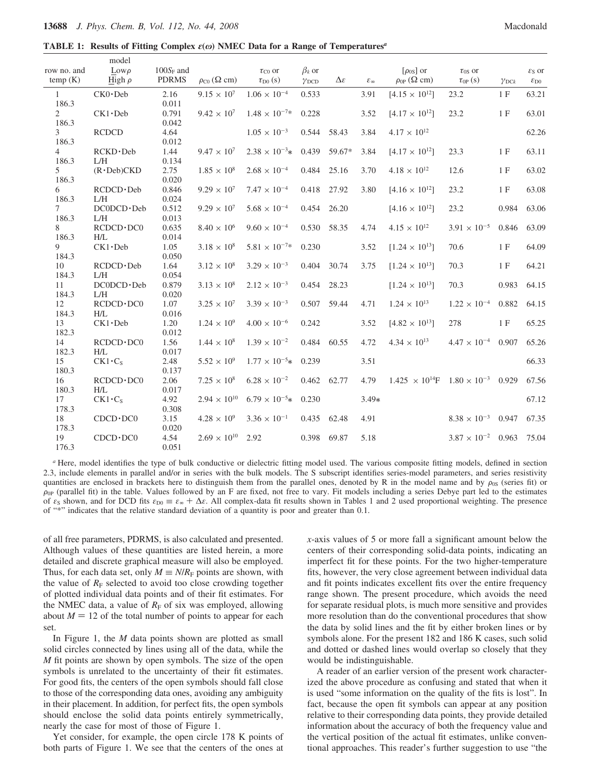model

**TABLE 1: Results of Fitting Complex** *ε***(***ω***) NMEC Data for a Range of Temperatures***<sup>a</sup>*

| row no. and<br>temp(K)  | $_{\text{Low}\rho}$<br>High $\rho$ | $100S_F$ and<br><b>PDRMS</b> | $\rho_{\rm C0}$ ( $\Omega$ cm) | $\tau_{\text{CO}}$ or<br>$\tau_{\text{D}0}$ (s) | $\beta_k$ or<br>$\gamma$ <sub>DCD</sub> | $\Delta \varepsilon$ | $\mathcal{E}_{\infty}$ | $\lceil \rho_{0S} \rceil$ or<br>$\rho_{0P}$ ( $\Omega$ cm) | $\tau_{0S}$ or<br>$\tau_{0P}(s)$ | $\gamma$ <sub>DCk</sub> | $\varepsilon_S$ or<br>$\varepsilon_{\rm D0}$ |
|-------------------------|------------------------------------|------------------------------|--------------------------------|-------------------------------------------------|-----------------------------------------|----------------------|------------------------|------------------------------------------------------------|----------------------------------|-------------------------|----------------------------------------------|
| $\mathbf{1}$<br>186.3   | $CKO \cdot Deb$                    | 2.16<br>0.011                | $9.15 \times 10^{7}$           | $1.06 \times 10^{-4}$                           | 0.533                                   |                      | 3.91                   | $[4.15 \times 10^{12}]$                                    | 23.2                             | 1F                      | 63.21                                        |
| $\overline{2}$<br>186.3 | $CK1 \cdot Deb$                    | 0.791<br>0.042               | $9.42 \times 10^{7}$           | $1.48 \times 10^{-7*}$                          | 0.228                                   |                      | 3.52                   | $[4.17 \times 10^{12}]$                                    | 23.2                             | 1F                      | 63.01                                        |
| 3<br>186.3              | <b>RCDCD</b>                       | 4.64<br>0.012                |                                | $1.05 \times 10^{-3}$                           | 0.544                                   | 58.43                | 3.84                   | $4.17 \times 10^{12}$                                      |                                  |                         | 62.26                                        |
| $\overline{4}$<br>186.3 | RCKD·Deb<br>L/H                    | 1.44<br>0.134                | $9.47 \times 10^{7}$           | $2.38 \times 10^{-3} *$                         | 0.439                                   | 59.67*               | 3.84                   | $[4.17 \times 10^{12}]$                                    | 23.3                             | 1F                      | 63.11                                        |
| 5<br>186.3              | $(R \cdot Deb)CKD$                 | 2.75<br>0.020                | $1.85 \times 10^8$             | $2.68 \times 10^{-4}$                           | 0.484                                   | 25.16                | 3.70                   | $4.18 \times 10^{12}$                                      | 12.6                             | 1F                      | 63.02                                        |
| 6<br>186.3              | $RCDCD \cdot Deb$<br>L/H           | 0.846<br>0.024               | $9.29 \times 10^{7}$           | $7.47 \times 10^{-4}$                           | 0.418                                   | 27.92                | 3.80                   | $[4.16 \times 10^{12}]$                                    | 23.2                             | 1F                      | 63.08                                        |
| $7^{\circ}$<br>186.3    | $DC0DCD \cdot Deb$<br>L/H          | 0.512<br>0.013               | $9.29 \times 10^{7}$           | $5.68 \times 10^{-4}$                           | 0.454                                   | 26.20                |                        | $[4.16 \times 10^{12}]$                                    | 23.2                             | 0.984                   | 63.06                                        |
| 8<br>186.3              | $RCDCD \cdot DC0$<br>H/L           | 0.635<br>0.014               | $8.40 \times 10^{6}$           | $9.60 \times 10^{-4}$                           | 0.530                                   | 58.35                | 4.74                   | $4.15 \times 10^{12}$                                      | $3.91 \times 10^{-5}$            | 0.846                   | 63.09                                        |
| 9<br>184.3              | $CK1 \cdot Deb$                    | 1.05<br>0.050                | $3.18 \times 10^{8}$           | $5.81 \times 10^{-7*}$                          | 0.230                                   |                      | 3.52                   | $[1.24 \times 10^{13}]$                                    | 70.6                             | 1F                      | 64.09                                        |
| 10<br>184.3             | $RCDCD \cdot Deb$<br>L/H           | 1.64<br>0.054                | $3.12 \times 10^8$             | $3.29 \times 10^{-3}$                           | 0.404                                   | 30.74                | 3.75                   | $[1.24 \times 10^{13}]$                                    | 70.3                             | 1F                      | 64.21                                        |
| 11<br>184.3             | $DC0DCD \cdot Deb$<br>L/H          | 0.879<br>0.020               | $3.13 \times 10^{8}$           | $2.12 \times 10^{-3}$                           | 0.454                                   | 28.23                |                        | $[1.24 \times 10^{13}]$                                    | 70.3                             | 0.983                   | 64.15                                        |
| 12<br>184.3             | $RCDCD \cdot DC0$<br>H/L           | 1.07<br>0.016                | $3.25 \times 10^{7}$           | $3.39 \times 10^{-3}$                           |                                         | 0.507 59.44          | 4.71                   | $1.24 \times 10^{13}$                                      | $1.22 \times 10^{-4}$            | 0.882                   | 64.15                                        |
| 13<br>182.3             | $CK1 \cdot Deb$                    | 1.20<br>0.012                | $1.24 \times 10^{9}$           | $4.00 \times 10^{-6}$                           | 0.242                                   |                      | 3.52                   | $[4.82 \times 10^{13}]$                                    | 278                              | 1F                      | 65.25                                        |
| 14<br>182.3             | $RCDCD \cdot DC0$<br>H/L           | 1.56<br>0.017                | $1.44 \times 10^{8}$           | $1.39 \times 10^{-2}$                           | 0.484                                   | 60.55                | 4.72                   | $4.34 \times 10^{13}$                                      | $4.47 \times 10^{-4}$            | 0.907                   | 65.26                                        |
| 15<br>180.3             | $CK1 \cdot C_s$                    | 2.48<br>0.137                | $5.52 \times 10^{9}$           | $1.77 \times 10^{-5}$ $0.239$                   |                                         |                      | 3.51                   |                                                            |                                  |                         | 66.33                                        |
| 16<br>180.3             | $RCDCD \cdot DC0$<br>H/L           | 2.06<br>0.017                | $7.25 \times 10^8$             | $6.28 \times 10^{-2}$                           | 0.462 62.77                             |                      | 4.79                   | $1.425 \times 10^{14}$ F $1.80 \times 10^{-3}$ 0.929       |                                  |                         | 67.56                                        |
| 17<br>178.3             | $CK1 \cdot C_S$                    | 4.92<br>0.308                | $2.94 \times 10^{10}$          | $6.79 \times 10^{-5}$ $0.230$                   |                                         |                      | $3.49*$                |                                                            |                                  |                         | 67.12                                        |
| 18<br>178.3             | $CDCD \cdot DC0$                   | 3.15<br>0.020                | $4.28 \times 10^{9}$           | $3.36 \times 10^{-1}$                           | 0.435 62.48                             |                      | 4.91                   |                                                            | $8.38 \times 10^{-3}$ 0.947      |                         | 67.35                                        |
| 19<br>176.3             | $CDCD \cdot DC0$                   | 4.54<br>0.051                | $2.69 \times 10^{10}$          | 2.92                                            | 0.398                                   | 69.87                | 5.18                   |                                                            | $3.87 \times 10^{-2}$            | 0.963                   | 75.04                                        |

*<sup>a</sup>* Here, model identifies the type of bulk conductive or dielectric fitting model used. The various composite fitting models, defined in section 2.3, include elements in parallel and/or in series with the bulk models. The S subscript identifies series-model parameters, and series resistivity quantities are enclosed in brackets here to distinguish them from the parallel ones, denoted by R in the model name and by  $\rho_{0S}$  (series fit) or  $\rho_{0P}$  (parallel fit) in the table. Values followed by an F are fixed, not free to vary. Fit models including a series Debye part led to the estimates of  $\varepsilon_{\rm S}$  shown, and for DCD fits  $\varepsilon_{\rm D0} \equiv \varepsilon_{\rm \infty} + \Delta \varepsilon$ . All complex-data fit results shown in Tables 1 and 2 used proportional weighting. The presence of "\*" indicates that the relative standard deviation of a quantity is poor and greater than 0.1.

of all free parameters, PDRMS, is also calculated and presented. Although values of these quantities are listed herein, a more detailed and discrete graphical measure will also be employed. Thus, for each data set, only  $M \equiv N/R_F$  points are shown, with the value of  $R_F$  selected to avoid too close crowding together of plotted individual data points and of their fit estimates. For the NMEC data, a value of  $R_F$  of six was employed, allowing about  $M = 12$  of the total number of points to appear for each set.

In Figure 1, the *M* data points shown are plotted as small solid circles connected by lines using all of the data, while the *M* fit points are shown by open symbols. The size of the open symbols is unrelated to the uncertainty of their fit estimates. For good fits, the centers of the open symbols should fall close to those of the corresponding data ones, avoiding any ambiguity in their placement. In addition, for perfect fits, the open symbols should enclose the solid data points entirely symmetrically, nearly the case for most of those of Figure 1.

Yet consider, for example, the open circle 178 K points of both parts of Figure 1. We see that the centers of the ones at *x*-axis values of 5 or more fall a significant amount below the centers of their corresponding solid-data points, indicating an imperfect fit for these points. For the two higher-temperature fits, however, the very close agreement between individual data and fit points indicates excellent fits over the entire frequency range shown. The present procedure, which avoids the need for separate residual plots, is much more sensitive and provides more resolution than do the conventional procedures that show the data by solid lines and the fit by either broken lines or by symbols alone. For the present 182 and 186 K cases, such solid and dotted or dashed lines would overlap so closely that they would be indistinguishable.

A reader of an earlier version of the present work characterized the above procedure as confusing and stated that when it is used "some information on the quality of the fits is lost". In fact, because the open fit symbols can appear at any position relative to their corresponding data points, they provide detailed information about the accuracy of both the frequency value and the vertical position of the actual fit estimates, unlike conventional approaches. This reader's further suggestion to use "the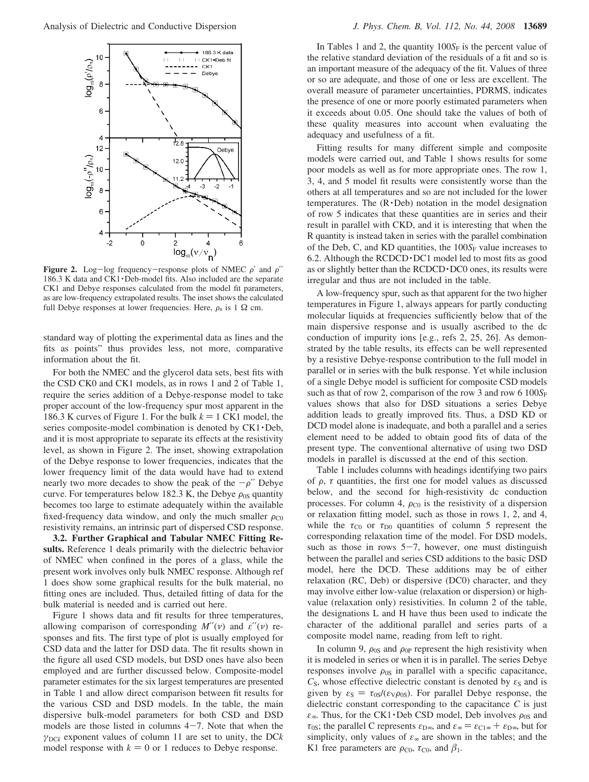

**Figure 2.** Log-log frequency-response plots of NMEC  $\rho'$  and  $\rho''$ 186.3 K data and CK1 · Deb-model fits. Also included are the separate CK1 and Debye responses calculated from the model fit parameters, as are low-frequency extrapolated results. The inset shows the calculated full Debye responses at lower frequencies. Here,  $\rho_n$  is 1  $\Omega$  cm.

standard way of plotting the experimental data as lines and the fits as points" thus provides less, not more, comparative information about the fit.

For both the NMEC and the glycerol data sets, best fits with the CSD CK0 and CK1 models, as in rows 1 and 2 of Table 1, require the series addition of a Debye-response model to take proper account of the low-frequency spur most apparent in the 186.3 K curves of Figure 1. For the bulk  $k = 1$  CK1 model, the series composite-model combination is denoted by CK1 · Deb, and it is most appropriate to separate its effects at the resistivity level, as shown in Figure 2. The inset, showing extrapolation of the Debye response to lower frequencies, indicates that the lower frequency limit of the data would have had to extend nearly two more decades to show the peak of the  $-\rho^{\prime\prime}$  Debye curve. For temperatures below 182.3 K, the Debye  $\rho_{0S}$  quantity becomes too large to estimate adequately within the available fixed-frequency data window, and only the much smaller  $\rho_{C0}$ resistivity remains, an intrinsic part of dispersed CSD response.

**3.2. Further Graphical and Tabular NMEC Fitting Results.** Reference 1 deals primarily with the dielectric behavior of NMEC when confined in the pores of a glass, while the present work involves only bulk NMEC response. Although ref 1 does show some graphical results for the bulk material, no fitting ones are included. Thus, detailed fitting of data for the bulk material is needed and is carried out here.

Figure 1 shows data and fit results for three temperatures, allowing comparison of corresponding *M*′′(*ν*) and *ε*′′(*ν*) responses and fits. The first type of plot is usually employed for CSD data and the latter for DSD data. The fit results shown in the figure all used CSD models, but DSD ones have also been employed and are further discussed below. Composite-model parameter estimates for the six largest temperatures are presented in Table 1 and allow direct comparison between fit results for the various CSD and DSD models. In the table, the main dispersive bulk-model parameters for both CSD and DSD models are those listed in columns  $4-7$ . Note that when the  $\gamma_{\text{DCK}}$  exponent values of column 11 are set to unity, the DC*k* model response with  $k = 0$  or 1 reduces to Debye response.

In Tables 1 and 2, the quantity  $100S<sub>F</sub>$  is the percent value of the relative standard deviation of the residuals of a fit and so is an important measure of the adequacy of the fit. Values of three or so are adequate, and those of one or less are excellent. The overall measure of parameter uncertainties, PDRMS, indicates the presence of one or more poorly estimated parameters when it exceeds about 0.05. One should take the values of both of these quality measures into account when evaluating the adequacy and usefulness of a fit.

Fitting results for many different simple and composite models were carried out, and Table 1 shows results for some poor models as well as for more appropriate ones. The row 1, 3, 4, and 5 model fit results were consistently worse than the others at all temperatures and so are not included for the lower temperatures. The  $(R \cdot Deb)$  notation in the model designation of row 5 indicates that these quantities are in series and their result in parallel with CKD, and it is interesting that when the R quantity is instead taken in series with the parallel combination of the Deb, C, and KD quantities, the  $100S_F$  value increases to 6.2. Although the RCDCD · DC1 model led to most fits as good as or slightly better than the RCDCD·DC0 ones, its results were irregular and thus are not included in the table.

A low-frequency spur, such as that apparent for the two higher temperatures in Figure 1, always appears for partly conducting molecular liquids at frequencies sufficiently below that of the main dispersive response and is usually ascribed to the dc conduction of impurity ions [e.g., refs 2, 25, 26]. As demonstrated by the table results, its effects can be well represented by a resistive Debye-response contribution to the full model in parallel or in series with the bulk response. Yet while inclusion of a single Debye model is sufficient for composite CSD models such as that of row 2, comparison of the row 3 and row 6  $100S_F$ values shows that also for DSD situations a series Debye addition leads to greatly improved fits. Thus, a DSD KD or DCD model alone is inadequate, and both a parallel and a series element need to be added to obtain good fits of data of the present type. The conventional alternative of using two DSD models in parallel is discussed at the end of this section.

Table 1 includes columns with headings identifying two pairs of  $\rho$ ,  $\tau$  quantities, the first one for model values as discussed below, and the second for high-resistivity dc conduction processes. For column 4,  $\rho_{C0}$  is the resistivity of a dispersion or relaxation fitting model, such as those in rows 1, 2, and 4, while the  $\tau_{C0}$  or  $\tau_{D0}$  quantities of column 5 represent the corresponding relaxation time of the model. For DSD models, such as those in rows  $5-7$ , however, one must distinguish between the parallel and series CSD additions to the basic DSD model, here the DCD. These additions may be of either relaxation (RC, Deb) or dispersive (DC0) character, and they may involve either low-value (relaxation or dispersion) or highvalue (relaxation only) resistivities. In column 2 of the table, the designations L and H have thus been used to indicate the character of the additional parallel and series parts of a composite model name, reading from left to right.

In column 9,  $\rho_{0S}$  and  $\rho_{0P}$  represent the high resistivity when it is modeled in series or when it is in parallel. The series Debye responses involve  $\rho_{0S}$  in parallel with a specific capacitance,  $C<sub>S</sub>$ , whose effective dielectric constant is denoted by  $\varepsilon<sub>S</sub>$  and is given by  $\varepsilon_{\rm S} = \tau_{0\rm S}/(\varepsilon_{\rm V}\rho_{0\rm S})$ . For parallel Debye response, the dielectric constant corresponding to the capacitance *C* is just  $\varepsilon_{\infty}$ . Thus, for the CK1 · Deb CSD model, Deb involves  $\rho_{0S}$  and *τ*<sub>0S</sub>; the parallel C represents  $\varepsilon_{D\infty}$ , and  $\varepsilon_{\infty} = \varepsilon_{C1\infty} + \varepsilon_{D\infty}$ , but for simplicity, only values of  $\varepsilon_{\infty}$  are shown in the tables; and the K1 free parameters are  $\rho_{\text{CO}}$ ,  $\tau_{\text{CO}}$ , and  $\beta_1$ .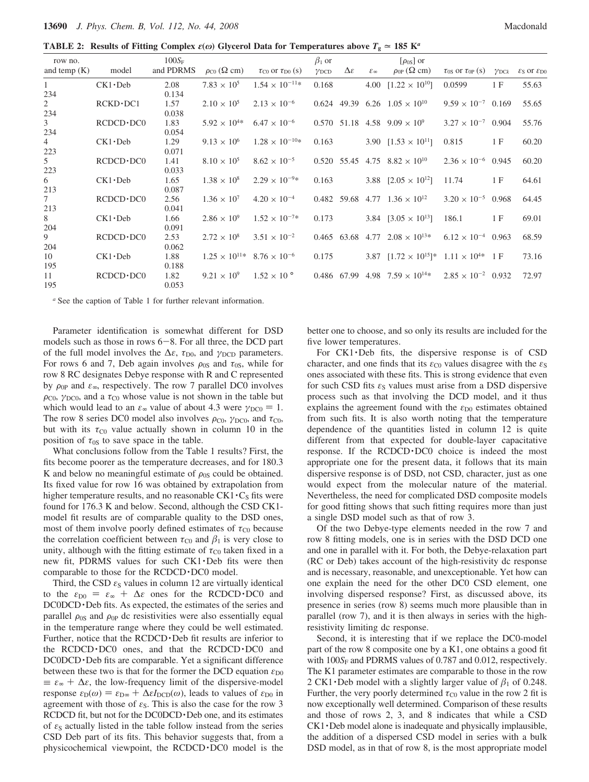**TABLE 2:** Results of Fitting Complex  $\varepsilon(\omega)$  Glycerol Data for Temperatures above  $T_g \approx 185 \text{ K}^a$ 

| row no.        |                   | $100S_F$  |                                              |                                              | $\beta_1$ or            |                      |                        | $\lceil \rho_{0S} \rceil$ or                             |                                |                       |                                                 |
|----------------|-------------------|-----------|----------------------------------------------|----------------------------------------------|-------------------------|----------------------|------------------------|----------------------------------------------------------|--------------------------------|-----------------------|-------------------------------------------------|
| and temp $(K)$ | model             | and PDRMS | $\rho_{\rm C0}$ ( $\Omega$ cm)               | $\tau_{\text{CO}}$ or $\tau_{\text{D}0}$ (s) | $\gamma$ <sub>DCD</sub> | $\Delta \varepsilon$ | $\mathcal{E}_{\infty}$ | $\rho_{0P}$ ( $\Omega$ cm)                               | $\tau_{0S}$ or $\tau_{0P}$ (s) | $\gamma_{\text{DC}k}$ | $\varepsilon_{\rm S}$ or $\varepsilon_{\rm D0}$ |
| $\mathbf{1}$   | $CK1 \cdot Deb$   | 2.08      | $7.83 \times 10^{5}$                         | $1.54 \times 10^{-11*}$                      | 0.168                   |                      |                        | 4.00 $[1.22 \times 10^{10}]$                             | 0.0599                         | 1F                    | 55.63                                           |
| 234            |                   | 0.134     |                                              |                                              |                         |                      |                        |                                                          |                                |                       |                                                 |
| $\overline{2}$ | $RCKD \cdot DC1$  | 1.57      | $2.10 \times 10^{5}$                         | $2.13 \times 10^{-6}$                        |                         |                      |                        | $0.624$ 49.39 6.26 $1.05 \times 10^{10}$                 | $9.59 \times 10^{-7}$ 0.169    |                       | 55.65                                           |
| 234            |                   | 0.038     |                                              |                                              |                         |                      |                        |                                                          |                                |                       |                                                 |
| $\mathfrak{Z}$ | $RCDCD \cdot DC0$ | 1.83      | $5.92 \times 10^{4*}$                        | $6.47 \times 10^{-6}$                        |                         |                      |                        | $0.570$ 51.18 4.58 $9.09 \times 10^9$                    | $3.27 \times 10^{-7}$ 0.904    |                       | 55.76                                           |
| 234            |                   | 0.054     |                                              |                                              |                         |                      |                        |                                                          |                                |                       |                                                 |
| 4              | $CK1 \cdot Deb$   | 1.29      | $9.13 \times 10^{6}$                         | $1.28 \times 10^{-10*}$                      | 0.163                   |                      |                        | 3.90 $[1.53 \times 10^{11}]$                             | 0.815                          | 1 F                   | 60.20                                           |
| 223            |                   | 0.071     |                                              |                                              |                         |                      |                        |                                                          |                                |                       |                                                 |
| 5              | $RCDCD \cdot DC0$ | 1.41      | $8.10 \times 10^{5}$                         | $8.62 \times 10^{-5}$                        |                         |                      |                        | $0.520$ 55.45 4.75 $8.82 \times 10^{10}$                 | $2.36 \times 10^{-6}$ 0.945    |                       | 60.20                                           |
| 223            |                   | 0.033     |                                              |                                              |                         |                      |                        |                                                          |                                |                       |                                                 |
| 6              | $CK1 \cdot Deb$   | 1.65      | $1.38 \times 10^8$                           | $2.29 \times 10^{-9*}$                       | 0.163                   |                      |                        | 3.88 $[2.05 \times 10^{12}]$                             | 11.74                          | 1F                    | 64.61                                           |
| 213            |                   | 0.087     |                                              |                                              |                         |                      |                        |                                                          |                                |                       |                                                 |
| $\tau$         | $RCDCD \cdot DC0$ | 2.56      | $1.36 \times 10^{7}$                         | $4.20 \times 10^{-4}$                        |                         |                      |                        | 0.482 59.68 4.77 $1.36 \times 10^{12}$                   | $3.20 \times 10^{-5}$ 0.968    |                       | 64.45                                           |
| 213            |                   | 0.041     |                                              |                                              |                         |                      |                        |                                                          |                                |                       |                                                 |
| 8              | $CK1 \cdot Deb$   | 1.66      | $2.86 \times 10^{9}$                         | $1.52 \times 10^{-7*}$                       | 0.173                   |                      |                        | 3.84 $[3.05 \times 10^{13}]$                             | 186.1                          | 1 F                   | 69.01                                           |
| 204            |                   | 0.091     |                                              |                                              |                         |                      |                        |                                                          |                                |                       |                                                 |
| 9              | $RCDCD \cdot DC0$ | 2.53      | $2.72 \times 10^8$                           | $3.51 \times 10^{-2}$                        |                         |                      |                        | $0.465$ 63.68 4.77 $2.08 \times 10^{13*}$                | $6.12 \times 10^{-4}$ 0.963    |                       | 68.59                                           |
| 204            |                   | 0.062     |                                              |                                              |                         |                      |                        |                                                          |                                |                       |                                                 |
| 10             | $CK1 \cdot Deb$   | 1.88      | $1.25 \times 10^{11*}$ 8.76 $\times 10^{-6}$ |                                              | 0.175                   |                      |                        | 3.87 $[1.72 \times 10^{15}]$ * $1.11 \times 10^{4*}$ 1 F |                                |                       | 73.16                                           |
| 195            |                   | 0.188     |                                              |                                              |                         |                      |                        |                                                          |                                |                       |                                                 |
| 11             | $RCDCD \cdot DC0$ | 1.82      | $9.21 \times 10^{9}$                         | $1.52 \times 10^{\circ}$                     |                         |                      |                        | 0.486 67.99 4.98 $7.59 \times 10^{14*}$                  | $2.85 \times 10^{-2}$ 0.932    |                       | 72.97                                           |
| 195            |                   | 0.053     |                                              |                                              |                         |                      |                        |                                                          |                                |                       |                                                 |

*<sup>a</sup>* See the caption of Table 1 for further relevant information.

Parameter identification is somewhat different for DSD models such as those in rows  $6-8$ . For all three, the DCD part of the full model involves the  $\Delta \varepsilon$ ,  $\tau_{\text{D0}}$ , and  $\gamma_{\text{DCD}}$  parameters. For rows 6 and 7, Deb again involves  $\rho_{0S}$  and  $\tau_{0S}$ , while for row 8 RC designates Debye response with R and C represented by  $\rho_{0P}$  and  $\varepsilon_{\infty}$ , respectively. The row 7 parallel DC0 involves  $\rho_{\text{CO}}$ ,  $\gamma_{\text{DC0}}$ , and a  $\tau_{\text{CO}}$  whose value is not shown in the table but which would lead to an  $\varepsilon_{\infty}$  value of about 4.3 were  $\gamma_{\text{DC0}} = 1$ . The row 8 series DC0 model also involves  $\rho_{C0}$ ,  $\gamma_{DC0}$ , and  $\tau_{C0}$ , but with its  $\tau_{\text{CO}}$  value actually shown in column 10 in the position of  $\tau_{0S}$  to save space in the table.

What conclusions follow from the Table 1 results? First, the fits become poorer as the temperature decreases, and for 180.3 K and below no meaningful estimate of  $\rho_{0S}$  could be obtained. Its fixed value for row 16 was obtained by extrapolation from higher temperature results, and no reasonable  $CK1 \cdot C_S$  fits were found for 176.3 K and below. Second, although the CSD CK1 model fit results are of comparable quality to the DSD ones, most of them involve poorly defined estimates of  $\tau_{\rm C0}$  because the correlation coefficient between  $\tau_{\text{C}0}$  and  $\beta_1$  is very close to unity, although with the fitting estimate of  $\tau_{\text{CO}}$  taken fixed in a new fit, PDRMS values for such CK1 · Deb fits were then comparable to those for the RCDCD · DC0 model.

Third, the CSD  $\varepsilon_{\rm S}$  values in column 12 are virtually identical to the  $\varepsilon_{D0} = \varepsilon_{\infty} + \Delta \varepsilon$  ones for the RCDCD · DC0 and DC0DCD · Deb fits. As expected, the estimates of the series and parallel  $\rho_{0S}$  and  $\rho_{0P}$  dc resistivities were also essentially equal in the temperature range where they could be well estimated. Further, notice that the RCDCD · Deb fit results are inferior to the  $RCDCD \cdot DC0$  ones, and that the  $RCDCD \cdot DC0$  and DC0DCD · Deb fits are comparable. Yet a significant difference between these two is that for the former the DCD equation  $\varepsilon_{D0}$  $\equiv \varepsilon_{\infty} + \Delta \varepsilon$ , the low-frequency limit of the dispersive-model response  $ε_D(ω) = ε_{D∞} + ΔεI_{DCD}(ω)$ , leads to values of  $ε_{D0}$  in agreement with those of  $\varepsilon_{S}$ . This is also the case for the row 3 RCDCD fit, but not for the DC0DCD·Deb one, and its estimates of  $\varepsilon_S$  actually listed in the table follow instead from the series CSD Deb part of its fits. This behavior suggests that, from a physicochemical viewpoint, the RCDCD · DC0 model is the

better one to choose, and so only its results are included for the five lower temperatures.

For  $CK1$  · Deb fits, the dispersive response is of  $CSD$ character, and one finds that its  $\varepsilon_{\text{CO}}$  values disagree with the  $\varepsilon_{\text{S}}$ ones associated with these fits. This is strong evidence that even for such CSD fits  $\varepsilon_{\rm S}$  values must arise from a DSD dispersive process such as that involving the DCD model, and it thus explains the agreement found with the  $\varepsilon_{D0}$  estimates obtained from such fits. It is also worth noting that the temperature dependence of the quantities listed in column 12 is quite different from that expected for double-layer capacitative response. If the RCDCD · DC0 choice is indeed the most appropriate one for the present data, it follows that its main dispersive response is of DSD, not CSD, character, just as one would expect from the molecular nature of the material. Nevertheless, the need for complicated DSD composite models for good fitting shows that such fitting requires more than just a single DSD model such as that of row 3.

Of the two Debye-type elements needed in the row 7 and row 8 fitting models, one is in series with the DSD DCD one and one in parallel with it. For both, the Debye-relaxation part (RC or Deb) takes account of the high-resistivity dc response and is necessary, reasonable, and unexceptionable. Yet how can one explain the need for the other DC0 CSD element, one involving dispersed response? First, as discussed above, its presence in series (row 8) seems much more plausible than in parallel (row 7), and it is then always in series with the highresistivity limiting dc response.

Second, it is interesting that if we replace the DC0-model part of the row 8 composite one by a K1, one obtains a good fit with 100S<sub>F</sub> and PDRMS values of 0.787 and 0.012, respectively. The K1 parameter estimates are comparable to those in the row 2 CK1 • Deb model with a slightly larger value of  $\beta_1$  of 0.248.<br>Further, the very poorly determined  $\tau_{00}$  value in the row 2 fit is Further, the very poorly determined  $\tau_{\rm C0}$  value in the row 2 fit is now exceptionally well determined. Comparison of these results and those of rows 2, 3, and 8 indicates that while a CSD CK1 ·Deb model alone is inadequate and physically implausible, the addition of a dispersed CSD model in series with a bulk DSD model, as in that of row 8, is the most appropriate model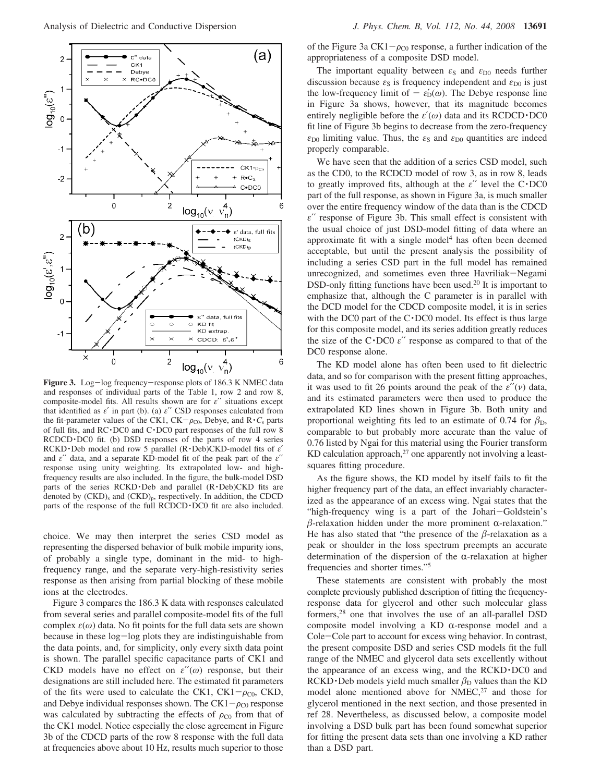

Figure 3. Log-log frequency-response plots of 186.3 K NMEC data and responses of individual parts of the Table 1, row 2 and row 8, composite-model fits. All results shown are for *ε*′′ situations except that identified as *ε*′ in part (b). (a) *ε*′′ CSD responses calculated from the fit-parameter values of the CK1,  $CK - \rho_{C0}$ , Debye, and  $R \cdot C_s$  parts of full fits, and RC· DC0 and C· DC0 part responses of the full row 8  $RCDCD \cdot DC0$  fit. (b) DSD responses of the parts of row 4 series RCKD · Deb model and row 5 parallel (R· Deb)CKD-model fits of *<sup>ε</sup>*′ and *ε*′′ data, and a separate KD-model fit of the peak part of the *ε*′′ response using unity weighting. Its extrapolated low- and highfrequency results are also included. In the figure, the bulk-model DSD parts of the series  $RCKD \cdot$  Deb and parallel  $(R \cdot$  Deb) $CKD$  fits are denoted by  $(CKD)_{s}$  and  $(CKD)_{p}$ , respectively. In addition, the CDCD parts of the response of the full RCDCD · DC0 fit are also included.

choice. We may then interpret the series CSD model as representing the dispersed behavior of bulk mobile impurity ions, of probably a single type, dominant in the mid- to highfrequency range, and the separate very-high-resistivity series response as then arising from partial blocking of these mobile ions at the electrodes.

Figure 3 compares the 186.3 K data with responses calculated from several series and parallel composite-model fits of the full complex  $\varepsilon(\omega)$  data. No fit points for the full data sets are shown because in these log-log plots they are indistinguishable from the data points, and, for simplicity, only every sixth data point is shown. The parallel specific capacitance parts of CK1 and CKD models have no effect on *ε*′′(*ω*) response, but their designations are still included here. The estimated fit parameters of the fits were used to calculate the CK1,  $CK1-\rho_{C0}$ , CKD, and Debye individual responses shown. The  $CK1-\rho_{C0}$  response was calculated by subtracting the effects of  $\rho_{C0}$  from that of the CK1 model. Notice especially the close agreement in Figure 3b of the CDCD parts of the row 8 response with the full data at frequencies above about 10 Hz, results much superior to those of the Figure 3a  $CK1-\rho_{C0}$  response, a further indication of the appropriateness of a composite DSD model.

The important equality between  $\varepsilon_{\rm S}$  and  $\varepsilon_{\rm D0}$  needs further discussion because  $\varepsilon_S$  is frequency independent and  $\varepsilon_{D0}$  is just the low-frequency limit of  $-\varepsilon'_{D}(\omega)$ . The Debye response line in Figure 3a shows, however, that its magnitude becomes entirely negligible before the *<sup>ε</sup>*′(*ω*) data and its RCDCD · DC0 fit line of Figure 3b begins to decrease from the zero-frequency  $\varepsilon_{D0}$  limiting value. Thus, the  $\varepsilon_{S}$  and  $\varepsilon_{D0}$  quantities are indeed properly comparable.

We have seen that the addition of a series CSD model, such as the CD0, to the RCDCD model of row 3, as in row 8, leads to greatly improved fits, although at the *<sup>ε</sup>*′′ level the C· DC0 part of the full response, as shown in Figure 3a, is much smaller over the entire frequency window of the data than is the CDCD *ε*′′ response of Figure 3b. This small effect is consistent with the usual choice of just DSD-model fitting of data where an approximate fit with a single model<sup>4</sup> has often been deemed acceptable, but until the present analysis the possibility of including a series CSD part in the full model has remained unrecognized, and sometimes even three Havriliak-Negami DSD-only fitting functions have been used.20 It is important to emphasize that, although the C parameter is in parallel with the DCD model for the CDCD composite model, it is in series with the DC0 part of the  $C \cdot DC0$  model. Its effect is thus large for this composite model, and its series addition greatly reduces the size of the C· DC0 *<sup>ε</sup>*′′ response as compared to that of the DC0 response alone.

The KD model alone has often been used to fit dielectric data, and so for comparison with the present fitting approaches, it was used to fit 26 points around the peak of the  $\varepsilon''(\nu)$  data, and its estimated parameters were then used to produce the extrapolated KD lines shown in Figure 3b. Both unity and proportional weighting fits led to an estimate of 0.74 for  $\beta_{\rm D}$ , comparable to but probably more accurate than the value of 0.76 listed by Ngai for this material using the Fourier transform KD calculation approach,<sup>27</sup> one apparently not involving a leastsquares fitting procedure.

As the figure shows, the KD model by itself fails to fit the higher frequency part of the data, an effect invariably characterized as the appearance of an excess wing. Ngai states that the "high-frequency wing is a part of the Johari-Goldstein's  $\beta$ -relaxation hidden under the more prominent  $\alpha$ -relaxation."<br>He has also stated that "the presence of the *B*-relaxation as a He has also stated that "the presence of the  $\beta$ -relaxation as a peak or shoulder in the loss spectrum preempts an accurate determination of the dispersion of the  $\alpha$ -relaxation at higher frequencies and shorter times."5

These statements are consistent with probably the most complete previously published description of fitting the frequencyresponse data for glycerol and other such molecular glass formers,28 one that involves the use of an all-parallel DSD composite model involving a KD  $\alpha$ -response model and a Cole-Cole part to account for excess wing behavior. In contrast, the present composite DSD and series CSD models fit the full range of the NMEC and glycerol data sets excellently without the appearance of an excess wing, and the RCKD · DC0 and  $RCKD \cdot Deb$  models yield much smaller  $\beta_D$  values than the KD<br>model alone mentioned above for NMFC<sup>27</sup> and those for model alone mentioned above for NMEC,<sup>27</sup> and those for glycerol mentioned in the next section, and those presented in ref 28. Nevertheless, as discussed below, a composite model involving a DSD bulk part has been found somewhat superior for fitting the present data sets than one involving a KD rather than a DSD part.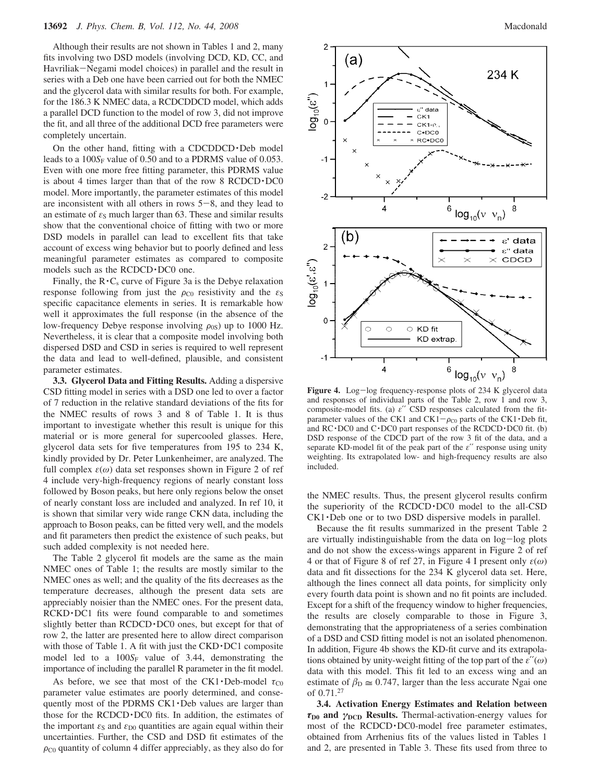#### **13692** *J. Phys. Chem. B, Vol. 112, No. 44, 2008* Macdonald

Although their results are not shown in Tables 1 and 2, many fits involving two DSD models (involving DCD, KD, CC, and Havriliak-Negami model choices) in parallel and the result in series with a Deb one have been carried out for both the NMEC and the glycerol data with similar results for both. For example, for the 186.3 K NMEC data, a RCDCDDCD model, which adds a parallel DCD function to the model of row 3, did not improve the fit, and all three of the additional DCD free parameters were completely uncertain.

On the other hand, fitting with a  $CDCDDCD \cdot Deb$  model leads to a  $100S_F$  value of 0.50 and to a PDRMS value of 0.053. Even with one more free fitting parameter, this PDRMS value is about 4 times larger than that of the row 8 RCDCD · DC0 model. More importantly, the parameter estimates of this model are inconsistent with all others in rows  $5-8$ , and they lead to an estimate of  $\varepsilon_S$  much larger than 63. These and similar results show that the conventional choice of fitting with two or more DSD models in parallel can lead to excellent fits that take account of excess wing behavior but to poorly defined and less meaningful parameter estimates as compared to composite models such as the RCDCD $\cdot$ DC0 one.

Finally, the  $\mathbb{R} \cdot \mathbb{C}_s$  curve of Figure 3a is the Debye relaxation response following from just the  $\rho_{\text{CO}}$  resistivity and the  $\varepsilon_{\text{S}}$ specific capacitance elements in series. It is remarkable how well it approximates the full response (in the absence of the low-frequency Debye response involving  $\rho_{0S}$ ) up to 1000 Hz. Nevertheless, it is clear that a composite model involving both dispersed DSD and CSD in series is required to well represent the data and lead to well-defined, plausible, and consistent parameter estimates.

**3.3. Glycerol Data and Fitting Results.** Adding a dispersive CSD fitting model in series with a DSD one led to over a factor of 7 reduction in the relative standard deviations of the fits for the NMEC results of rows 3 and 8 of Table 1. It is thus important to investigate whether this result is unique for this material or is more general for supercooled glasses. Here, glycerol data sets for five temperatures from 195 to 234 K, kindly provided by Dr. Peter Lunkenheimer, are analyzed. The full complex *ε*(*ω*) data set responses shown in Figure 2 of ref 4 include very-high-frequency regions of nearly constant loss followed by Boson peaks, but here only regions below the onset of nearly constant loss are included and analyzed. In ref 10, it is shown that similar very wide range CKN data, including the approach to Boson peaks, can be fitted very well, and the models and fit parameters then predict the existence of such peaks, but such added complexity is not needed here.

The Table 2 glycerol fit models are the same as the main NMEC ones of Table 1; the results are mostly similar to the NMEC ones as well; and the quality of the fits decreases as the temperature decreases, although the present data sets are appreciably noisier than the NMEC ones. For the present data, RCKD · DC1 fits were found comparable to and sometimes slightly better than RCDCD · DC0 ones, but except for that of row 2, the latter are presented here to allow direct comparison with those of Table 1. A fit with just the CKD $\cdot$ DC1 composite model led to a 100S<sub>F</sub> value of 3.44, demonstrating the importance of including the parallel R parameter in the fit model.

As before, we see that most of the CK1 · Deb-model  $\tau_{C0}$ parameter value estimates are poorly determined, and consequently most of the PDRMS  $CK1$  · Deb values are larger than those for the RCDCD · DC0 fits. In addition, the estimates of the important  $\varepsilon_S$  and  $\varepsilon_{D0}$  quantities are again equal within their uncertainties. Further, the CSD and DSD fit estimates of the  $\rho_{\rm CO}$  quantity of column 4 differ appreciably, as they also do for



Figure 4. Log-log frequency-response plots of 234 K glycerol data and responses of individual parts of the Table 2, row 1 and row 3, composite-model fits. (a) *ε*′′ CSD responses calculated from the fitparameter values of the CK1 and CK1- $\rho_{\text{CO}}$  parts of the CK1 · Deb fit, and RC·DC0 and C·DC0 part responses of the RCDCD·DC0 fit. (b) DSD response of the CDCD part of the row 3 fit of the data, and a separate KD-model fit of the peak part of the *ε*′′ response using unity weighting. Its extrapolated low- and high-frequency results are also included.

the NMEC results. Thus, the present glycerol results confirm the superiority of the RCDCD · DC0 model to the all-CSD CK1 · Deb one or to two DSD dispersive models in parallel.

Because the fit results summarized in the present Table 2 are virtually indistinguishable from the data on log-log plots and do not show the excess-wings apparent in Figure 2 of ref 4 or that of Figure 8 of ref 27, in Figure 4 I present only *ε*(*ω*) data and fit dissections for the 234 K glycerol data set. Here, although the lines connect all data points, for simplicity only every fourth data point is shown and no fit points are included. Except for a shift of the frequency window to higher frequencies, the results are closely comparable to those in Figure 3, demonstrating that the appropriateness of a series combination of a DSD and CSD fitting model is not an isolated phenomenon. In addition, Figure 4b shows the KD-fit curve and its extrapolations obtained by unity-weight fitting of the top part of the *ε*′′(*ω*) data with this model. This fit led to an excess wing and an estimate of  $\beta_{\text{D}} \approx 0.747$ , larger than the less accurate Ngai one of 0.71.<sup>27</sup> of 0.71.27

**3.4. Activation Energy Estimates and Relation between** *τ***D0 and** *γ***DCD Results.** Thermal-activation-energy values for most of the RCDCD · DC0-model free parameter estimates, obtained from Arrhenius fits of the values listed in Tables 1 and 2, are presented in Table 3. These fits used from three to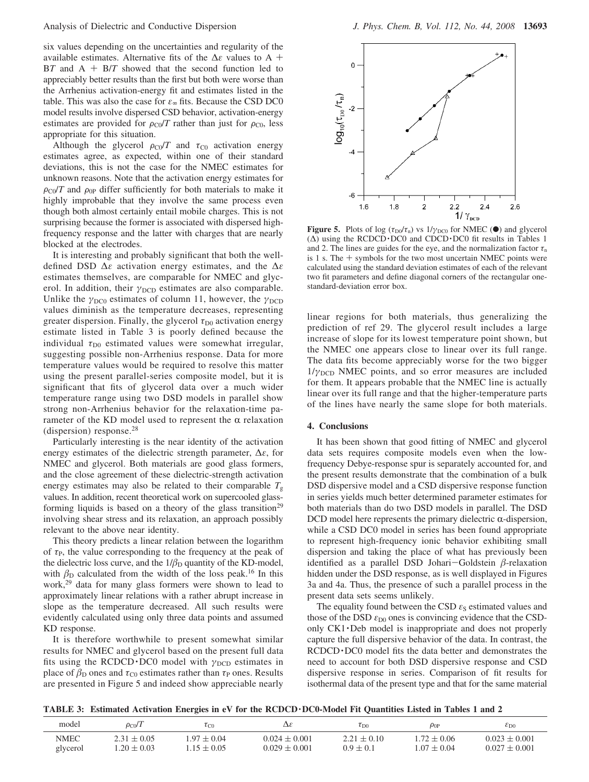six values depending on the uncertainties and regularity of the available estimates. Alternative fits of the <sup>∆</sup>*<sup>ε</sup>* values to A + <sup>B</sup>*<sup>T</sup>* and A + B/*<sup>T</sup>* showed that the second function led to appreciably better results than the first but both were worse than the Arrhenius activation-energy fit and estimates listed in the table. This was also the case for *ε*<sup>∞</sup> fits. Because the CSD DC0 model results involve dispersed CSD behavior, activation-energy estimates are provided for  $\rho_{\text{CO}}/T$  rather than just for  $\rho_{\text{CO}}$ , less appropriate for this situation.

Although the glycerol  $\rho_{\text{CO}}/T$  and  $\tau_{\text{CO}}$  activation energy estimates agree, as expected, within one of their standard deviations, this is not the case for the NMEC estimates for unknown reasons. Note that the activation energy estimates for  $\rho_{\text{CO}}/T$  and  $\rho_{0\text{P}}$  differ sufficiently for both materials to make it highly improbable that they involve the same process even though both almost certainly entail mobile charges. This is not surprising because the former is associated with dispersed highfrequency response and the latter with charges that are nearly blocked at the electrodes.

It is interesting and probably significant that both the welldefined DSD ∆*ε* activation energy estimates, and the ∆*ε* estimates themselves, are comparable for NMEC and glycerol. In addition, their *γ*<sub>DCD</sub> estimates are also comparable. Unlike the  $\gamma_{DC0}$  estimates of column 11, however, the  $\gamma_{DCD}$ values diminish as the temperature decreases, representing greater dispersion. Finally, the glycerol *τ*<sub>D0</sub> activation energy estimate listed in Table 3 is poorly defined because the individual  $\tau_{D0}$  estimated values were somewhat irregular, suggesting possible non-Arrhenius response. Data for more temperature values would be required to resolve this matter using the present parallel-series composite model, but it is significant that fits of glycerol data over a much wider temperature range using two DSD models in parallel show strong non-Arrhenius behavior for the relaxation-time parameter of the KD model used to represent the  $\alpha$  relaxation (dispersion) response.28

Particularly interesting is the near identity of the activation energy estimates of the dielectric strength parameter, ∆*ε*, for NMEC and glycerol. Both materials are good glass formers, and the close agreement of these dielectric-strength activation energy estimates may also be related to their comparable  $T_g$ values. In addition, recent theoretical work on supercooled glassforming liquids is based on a theory of the glass transition<sup>29</sup> involving shear stress and its relaxation, an approach possibly relevant to the above near identity.

This theory predicts a linear relation between the logarithm of  $\tau_P$ , the value corresponding to the frequency at the peak of the dielectric loss curve, and the  $1/\beta_D$  quantity of the KD-model, with  $\beta_{\rm D}$  calculated from the width of the loss peak.<sup>16</sup> In this work,29 data for many glass formers were shown to lead to approximately linear relations with a rather abrupt increase in slope as the temperature decreased. All such results were evidently calculated using only three data points and assumed KD response.

It is therefore worthwhile to present somewhat similar results for NMEC and glycerol based on the present full data fits using the RCDCD · DC0 model with *γ*<sub>DCD</sub> estimates in place of  $\beta_{\rm D}$  ones and  $\tau_{\rm C0}$  estimates rather than  $\tau_{\rm P}$  ones. Results are presented in Figure 5 and indeed show appreciable nearly



**Figure 5.** Plots of log ( $\tau_{D0}/\tau_n$ ) vs  $1/\gamma_{DC0}$  for NMEC ( $\bullet$ ) and glycerol (∆) using the RCDCD · DC0 and CDCD · DC0 fit results in Tables 1 and 2. The lines are guides for the eye, and the normalization factor  $\tau$ <sup>n</sup> is 1 s. The  $+$  symbols for the two most uncertain NMEC points were calculated using the standard deviation estimates of each of the relevant two fit parameters and define diagonal corners of the rectangular onestandard-deviation error box.

linear regions for both materials, thus generalizing the prediction of ref 29. The glycerol result includes a large increase of slope for its lowest temperature point shown, but the NMEC one appears close to linear over its full range. The data fits become appreciably worse for the two bigger 1/*γ*<sub>DCD</sub> NMEC points, and so error measures are included for them. It appears probable that the NMEC line is actually linear over its full range and that the higher-temperature parts of the lines have nearly the same slope for both materials.

#### **4. Conclusions**

It has been shown that good fitting of NMEC and glycerol data sets requires composite models even when the lowfrequency Debye-response spur is separately accounted for, and the present results demonstrate that the combination of a bulk DSD dispersive model and a CSD dispersive response function in series yields much better determined parameter estimates for both materials than do two DSD models in parallel. The DSD DCD model here represents the primary dielectric  $\alpha$ -dispersion, while a CSD DC0 model in series has been found appropriate to represent high-frequency ionic behavior exhibiting small dispersion and taking the place of what has previously been identified as a parallel DSD Johari-Goldstein  $\beta$ -relaxation<br>hidden under the DSD response as is well displayed in Figures hidden under the DSD response, as is well displayed in Figures 3a and 4a. Thus, the presence of such a parallel process in the present data sets seems unlikely.

The equality found between the CSD  $\varepsilon_{\rm S}$  estimated values and those of the DSD  $\varepsilon_{D0}$  ones is convincing evidence that the CSDonly  $CK1$  · Deb model is inappropriate and does not properly capture the full dispersive behavior of the data. In contrast, the RCDCD · DC0 model fits the data better and demonstrates the need to account for both DSD dispersive response and CSD dispersive response in series. Comparison of fit results for isothermal data of the present type and that for the same material

|  | TABLE 3: Estimated Activation Energies in eV for the RCDCD DC0-Model Fit Quantities Listed in Tables 1 and 2 |  |
|--|--------------------------------------------------------------------------------------------------------------|--|
|  |                                                                                                              |  |

| model       | $\rho_{\rm CO}/T$ | $\tau_{\text{CO}}$ | Δε                | $\tau_{\rm D0}$ | $\rho_{0P}$     | $\varepsilon_{\text{D}0}$ |
|-------------|-------------------|--------------------|-------------------|-----------------|-----------------|---------------------------|
| <b>NMEC</b> | $2.31 \pm 0.05$   | $1.97 \pm 0.04$    | $0.024 \pm 0.001$ | $2.21 \pm 0.10$ | $1.72 \pm 0.06$ | $0.023 \pm 0.001$         |
| glycerol    | $.20 \pm 0.03$    | $1.15 \pm 0.05$    | $0.029 \pm 0.001$ | $0.9 \pm 0.1$   | $1.07 \pm 0.04$ | $0.027 \pm 0.001$         |